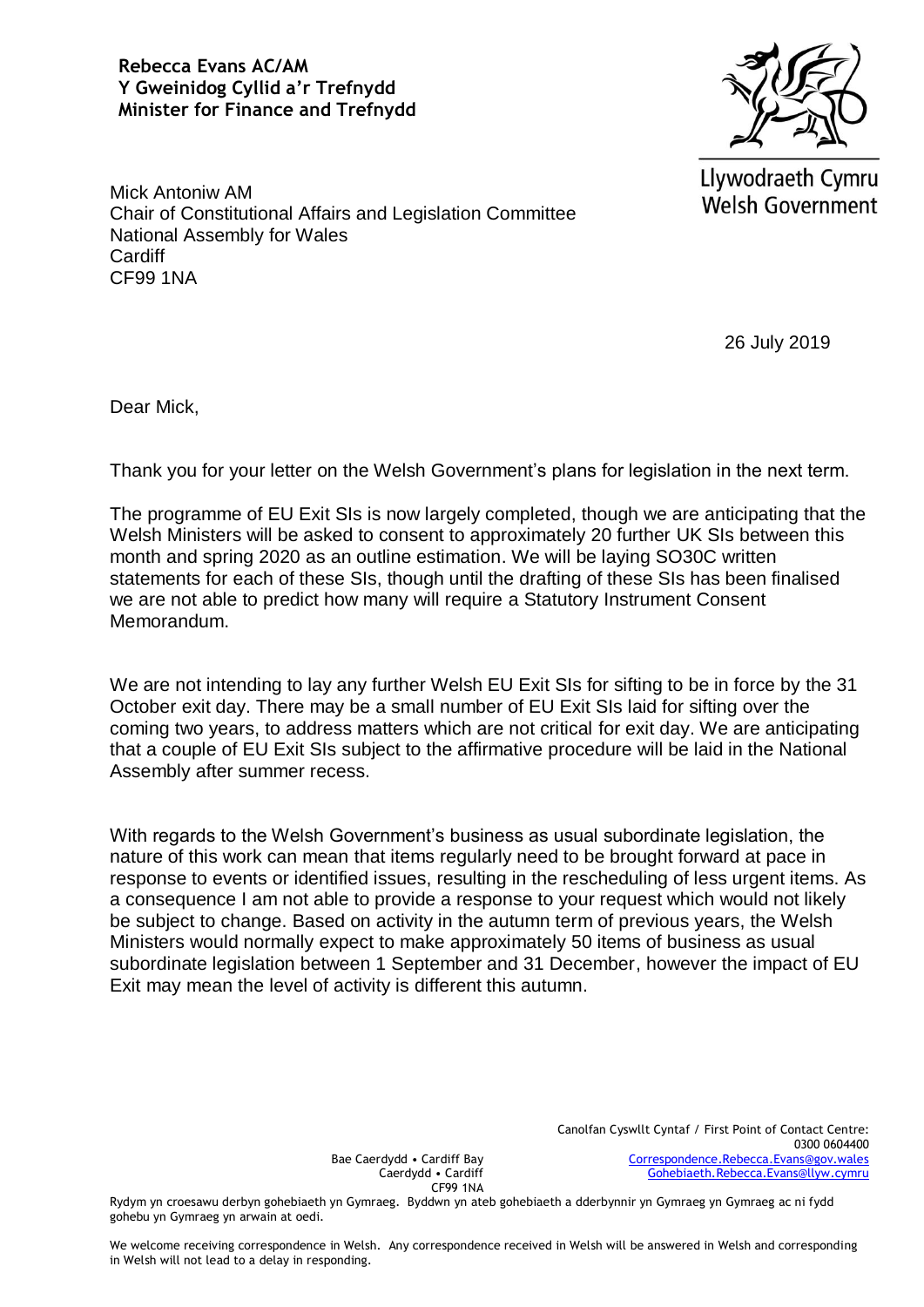**Rebecca Evans AC/AM Y Gweinidog Cyllid a'r Trefnydd Minister for Finance and Trefnydd**



Llywodraeth Cymru **Welsh Government** 

Mick Antoniw AM Chair of Constitutional Affairs and Legislation Committee National Assembly for Wales **Cardiff** CF99 1NA

26 July 2019

Dear Mick,

Thank you for your letter on the Welsh Government's plans for legislation in the next term.

The programme of EU Exit SIs is now largely completed, though we are anticipating that the Welsh Ministers will be asked to consent to approximately 20 further UK SIs between this month and spring 2020 as an outline estimation. We will be laying SO30C written statements for each of these SIs, though until the drafting of these SIs has been finalised we are not able to predict how many will require a Statutory Instrument Consent Memorandum.

We are not intending to lay any further Welsh EU Exit SIs for sifting to be in force by the 31 October exit day. There may be a small number of EU Exit SIs laid for sifting over the coming two years, to address matters which are not critical for exit day. We are anticipating that a couple of EU Exit SIs subject to the affirmative procedure will be laid in the National Assembly after summer recess.

With regards to the Welsh Government's business as usual subordinate legislation, the nature of this work can mean that items regularly need to be brought forward at pace in response to events or identified issues, resulting in the rescheduling of less urgent items. As a consequence I am not able to provide a response to your request which would not likely be subject to change. Based on activity in the autumn term of previous years, the Welsh Ministers would normally expect to make approximately 50 items of business as usual subordinate legislation between 1 September and 31 December, however the impact of EU Exit may mean the level of activity is different this autumn.

Bae Caerdydd • Cardiff Bay Caerdydd • Cardiff CF99 1NA

Rydym yn croesawu derbyn gohebiaeth yn Gymraeg. Byddwn yn ateb gohebiaeth a dderbynnir yn Gymraeg yn Gymraeg ac ni fydd gohebu yn Gymraeg yn arwain at oedi.

We welcome receiving correspondence in Welsh. Any correspondence received in Welsh will be answered in Welsh and corresponding in Welsh will not lead to a delay in responding.